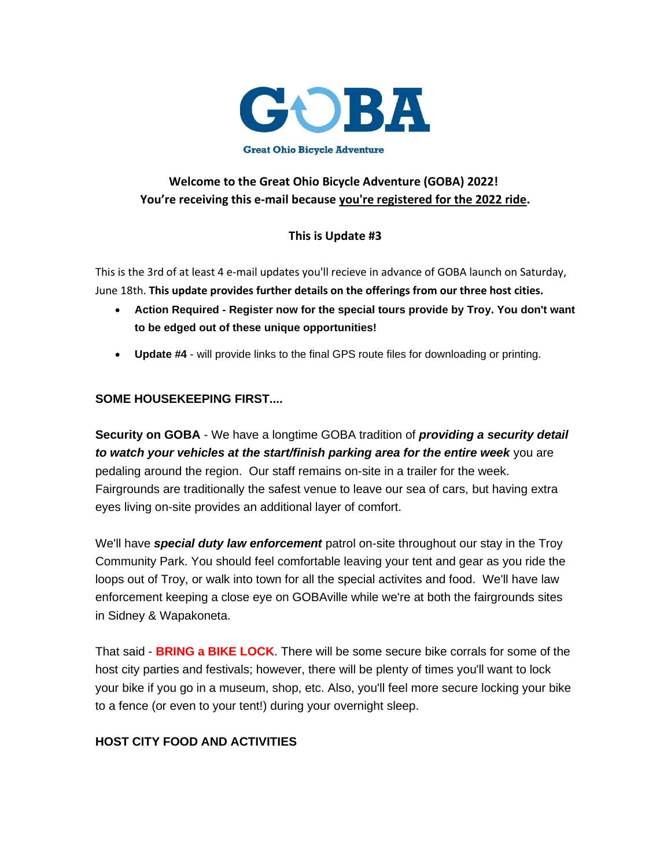

# **Welcome to the Great Ohio Bicycle Adventure (GOBA) 2022! You're receiving this e-mail because you're registered for the 2022 ride.**

### **This is Update #3**

This is the 3rd of at least 4 e-mail updates you'll recieve in advance of GOBA launch on Saturday, June 18th. **This update provides further details on the offerings from our three host cities.**

- **Action Required - Register now for the special tours provide by Troy. You don't want to be edged out of these unique opportunities!**
- **Update #4** will provide links to the final GPS route files for downloading or printing.

### **SOME HOUSEKEEPING FIRST....**

**Security on GOBA** - We have a longtime GOBA tradition of *providing a security detail to watch your vehicles at the start/finish parking area for the entire week* you are pedaling around the region. Our staff remains on-site in a trailer for the week. Fairgrounds are traditionally the safest venue to leave our sea of cars, but having extra eyes living on-site provides an additional layer of comfort.

We'll have *special duty law enforcement* patrol on-site throughout our stay in the Troy Community Park. You should feel comfortable leaving your tent and gear as you ride the loops out of Troy, or walk into town for all the special activites and food. We'll have law enforcement keeping a close eye on GOBAville while we're at both the fairgrounds sites in Sidney & Wapakoneta.

That said - **BRING a BIKE LOCK**. There will be some secure bike corrals for some of the host city parties and festivals; however, there will be plenty of times you'll want to lock your bike if you go in a museum, shop, etc. Also, you'll feel more secure locking your bike to a fence (or even to your tent!) during your overnight sleep.

### **HOST CITY FOOD AND ACTIVITIES**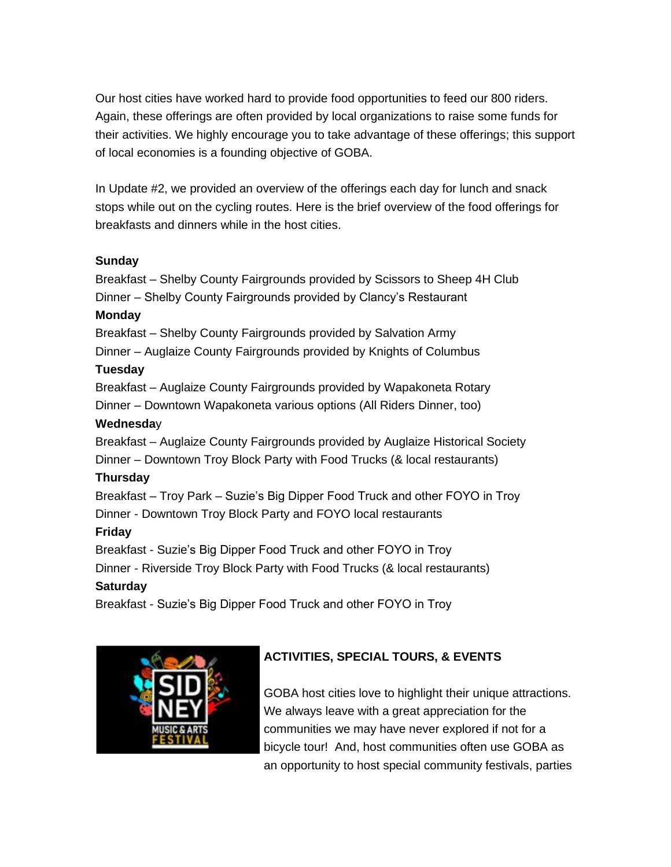Our host cities have worked hard to provide food opportunities to feed our 800 riders. Again, these offerings are often provided by local organizations to raise some funds for their activities. We highly encourage you to take advantage of these offerings; this support of local economies is a founding objective of GOBA.

In Update #2, we provided an overview of the offerings each day for lunch and snack stops while out on the cycling routes. Here is the brief overview of the food offerings for breakfasts and dinners while in the host cities.

### **Sunday**

Breakfast – Shelby County Fairgrounds provided by Scissors to Sheep 4H Club Dinner – Shelby County Fairgrounds provided by Clancy's Restaurant **Monday** Breakfast – Shelby County Fairgrounds provided by Salvation Army Dinner – Auglaize County Fairgrounds provided by Knights of Columbus **Tuesday** Breakfast – Auglaize County Fairgrounds provided by Wapakoneta Rotary Dinner – Downtown Wapakoneta various options (All Riders Dinner, too) **Wednesda**y Breakfast – Auglaize County Fairgrounds provided by Auglaize Historical Society Dinner – Downtown Troy Block Party with Food Trucks (& local restaurants) **Thursday** Breakfast – Troy Park – Suzie's Big Dipper Food Truck and other FOYO in Troy Dinner - Downtown Troy Block Party and FOYO local restaurants **Friday** Breakfast - Suzie's Big Dipper Food Truck and other FOYO in Troy Dinner - Riverside Troy Block Party with Food Trucks (& local restaurants) **Saturday** Breakfast - Suzie's Big Dipper Food Truck and other FOYO in Troy



# **ACTIVITIES, SPECIAL TOURS, & EVENTS**

GOBA host cities love to highlight their unique attractions. We always leave with a great appreciation for the communities we may have never explored if not for a bicycle tour! And, host communities often use GOBA as an opportunity to host special community festivals, parties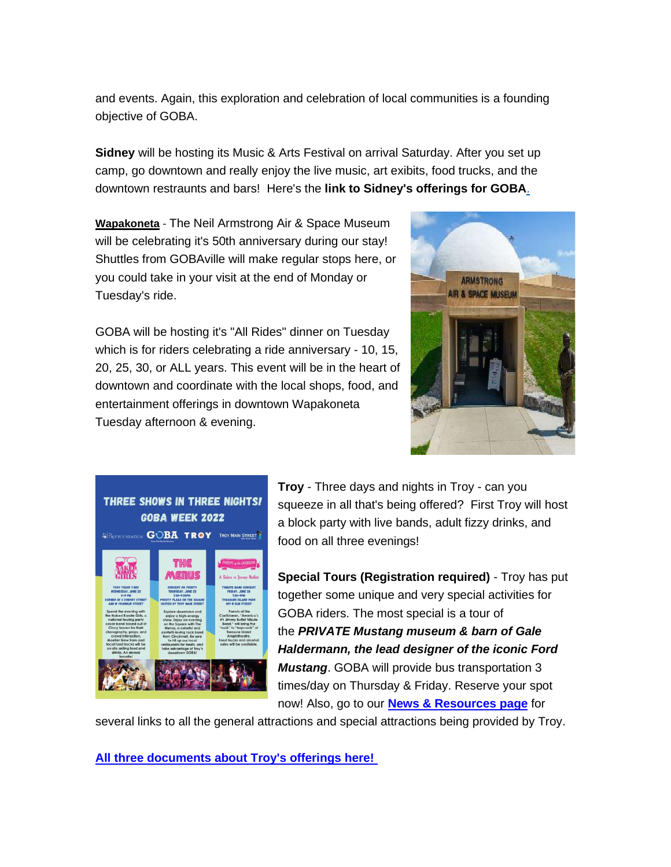and events. Again, this exploration and celebration of local communities is a founding objective of GOBA.

**Sidney** will be hosting its Music & Arts Festival on arrival Saturday. After you set up camp, go downtown and really enjoy the live music, art exibits, food trucks, and the downtown restraunts and bars! Here's the **[link to Sidney's offerings for GOBA](https://app.donorview.com/Communication/Click?prm=BsHBZGYqj28wcCPEIAPqwqT0FhNWEXouKgg52SwIdgFLXGqmgD1yFYQL7jZBS89mCEfAfqQcRIVM1p5bHeKAmfyOa8NhO4XPoLrF1C5D1ZOk_mCl0IZkKwBqaxqbwVdlJsF3KMndwuX_Q0p9ZLpv61-lnFSMk79DYTkDShCS1jxKzkoE5rC9M25aRoq3Me5bEAlDI2GkTNlI9cCXXN_WqUmC6JGWQuilpbkKOeBivSA1&target=https%3a%2f%2fgoba.com%2fwp-content%2fuploads%2f2022%2f06%2fGOBAOnePageVisitorsGuide-4.pdf)**.

**Wapakoneta** - The Neil Armstrong Air & Space Museum will be celebrating it's 50th anniversary during our stay! Shuttles from GOBAville will make regular stops here, or you could take in your visit at the end of Monday or Tuesday's ride.



GOBA will be hosting it's "All Rides" dinner on Tuesday which is for riders celebrating a ride anniversary - 10, 15, 20, 25, 30, or ALL years. This event will be in the heart of downtown and coordinate with the local shops, food, and entertainment offerings in downtown Wapakoneta Tuesday afternoon & evening.



**Troy** - Three days and nights in Troy - can you squeeze in all that's being offered? First Troy will host a block party with live bands, adult fizzy drinks, and food on all three evenings!

**Special Tours (Registration required)** - Troy has put together some unique and very special activities for GOBA riders. The most special is a tour of the *PRIVATE Mustang museum & barn of Gale Haldermann, the lead designer of the iconic Ford Mustang*. GOBA will provide bus transportation 3 times/day on Thursday & Friday. Reserve your spot now! Also, go to our **[News & Resources page](https://app.donorview.com/Communication/Click?prm=BsHBZGYqj28wcCPEIAPqwqT0FhNWEXouKgg52SwIdgFLXGqmgD1yFYQL7jZBS89mCEfAfqQcRIVM1p5bHeKAmfyOa8NhO4XPoLrF1C5D1ZOk_mCl0IZkKwBqaxqbwVdlJsF3KMndwuX_Q0p9ZLpv61-lnFSMk79DYTkDShCS1jxKzkoE5rC9M25aRoq3Me5bEAlDI2GkTNlI9cCXXN_WqUmC6JGWQuilpbkKOeBivSA1&target=https%3a%2f%2fgoba.com%2fnews-and-resources%2f%3ffbclid%3dIwAR25PivLaSb9IVZQk38iLhAXYv3z0ifc641zHUy0dZEV6D7POMkp5e7FCJ8)** for

several links to all the general attractions and special attractions being provided by Troy.

**[All three documents about Troy's offerings here!](https://app.donorview.com/Communication/Click?prm=BsHBZGYqj28wcCPEIAPqwqT0FhNWEXouKgg52SwIdgFLXGqmgD1yFYQL7jZBS89mCEfAfqQcRIVM1p5bHeKAmfyOa8NhO4XPoLrF1C5D1ZOk_mCl0IZkKwBqaxqbwVdlJsF3KMndwuX_Q0p9ZLpv61-lnFSMk79DYTkDShCS1jxKzkoE5rC9M25aRoq3Me5bEAlDI2GkTNlI9cCXXN_WqUmC6JGWQuilpbkKOeBivSA1&target=https%3a%2f%2fgoba.com%2fnews-and-resources%2f%3ffbclid%3dIwAR25PivLaSb9IVZQk38iLhAXYv3z0ifc641zHUy0dZEV6D7POMkp5e7FCJ8)**